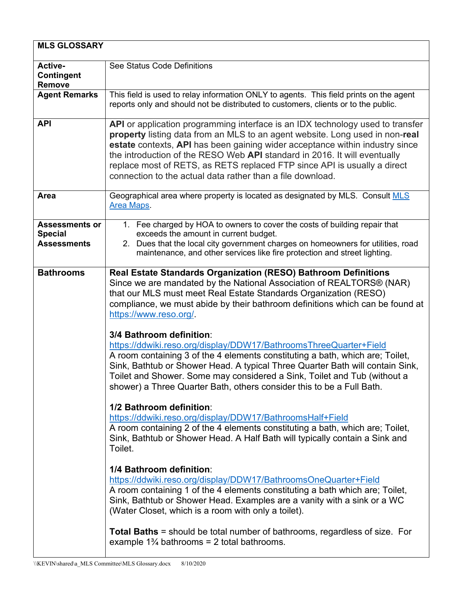| <b>MLS GLOSSARY</b>                                           |                                                                                                                                                                                                                                                                                                                                                                                                                                                                                                                                                                                         |
|---------------------------------------------------------------|-----------------------------------------------------------------------------------------------------------------------------------------------------------------------------------------------------------------------------------------------------------------------------------------------------------------------------------------------------------------------------------------------------------------------------------------------------------------------------------------------------------------------------------------------------------------------------------------|
| Active-<br>Contingent<br><b>Remove</b>                        | See Status Code Definitions                                                                                                                                                                                                                                                                                                                                                                                                                                                                                                                                                             |
| <b>Agent Remarks</b>                                          | This field is used to relay information ONLY to agents. This field prints on the agent<br>reports only and should not be distributed to customers, clients or to the public.                                                                                                                                                                                                                                                                                                                                                                                                            |
| <b>API</b>                                                    | API or application programming interface is an IDX technology used to transfer<br>property listing data from an MLS to an agent website. Long used in non-real<br>estate contexts, API has been gaining wider acceptance within industry since<br>the introduction of the RESO Web API standard in 2016. It will eventually<br>replace most of RETS, as RETS replaced FTP since API is usually a direct<br>connection to the actual data rather than a file download.                                                                                                                   |
| Area                                                          | Geographical area where property is located as designated by MLS. Consult MLS<br><b>Area Maps</b>                                                                                                                                                                                                                                                                                                                                                                                                                                                                                       |
| <b>Assessments or</b><br><b>Special</b><br><b>Assessments</b> | 1. Fee charged by HOA to owners to cover the costs of building repair that<br>exceeds the amount in current budget.<br>2. Dues that the local city government charges on homeowners for utilities, road<br>maintenance, and other services like fire protection and street lighting.                                                                                                                                                                                                                                                                                                    |
| <b>Bathrooms</b>                                              | Real Estate Standards Organization (RESO) Bathroom Definitions<br>Since we are mandated by the National Association of REALTORS® (NAR)<br>that our MLS must meet Real Estate Standards Organization (RESO)<br>compliance, we must abide by their bathroom definitions which can be found at<br>https://www.reso.org/<br>3/4 Bathroom definition:<br>https://ddwiki.reso.org/display/DDW17/BathroomsThreeQuarter+Field<br>A room containing 3 of the 4 elements constituting a bath, which are; Toilet,<br>Sink, Bathtub or Shower Head. A typical Three Quarter Bath will contain Sink, |
|                                                               | Toilet and Shower. Some may considered a Sink, Toilet and Tub (without a<br>shower) a Three Quarter Bath, others consider this to be a Full Bath.<br>1/2 Bathroom definition:                                                                                                                                                                                                                                                                                                                                                                                                           |
|                                                               | https://ddwiki.reso.org/display/DDW17/BathroomsHalf+Field<br>A room containing 2 of the 4 elements constituting a bath, which are; Toilet,<br>Sink, Bathtub or Shower Head. A Half Bath will typically contain a Sink and<br>Toilet.                                                                                                                                                                                                                                                                                                                                                    |
|                                                               | 1/4 Bathroom definition:<br>https://ddwiki.reso.org/display/DDW17/BathroomsOneQuarter+Field<br>A room containing 1 of the 4 elements constituting a bath which are; Toilet,<br>Sink, Bathtub or Shower Head. Examples are a vanity with a sink or a WC<br>(Water Closet, which is a room with only a toilet).                                                                                                                                                                                                                                                                           |
|                                                               | <b>Total Baths</b> = should be total number of bathrooms, regardless of size. For<br>example $1\frac{3}{4}$ bathrooms = 2 total bathrooms.                                                                                                                                                                                                                                                                                                                                                                                                                                              |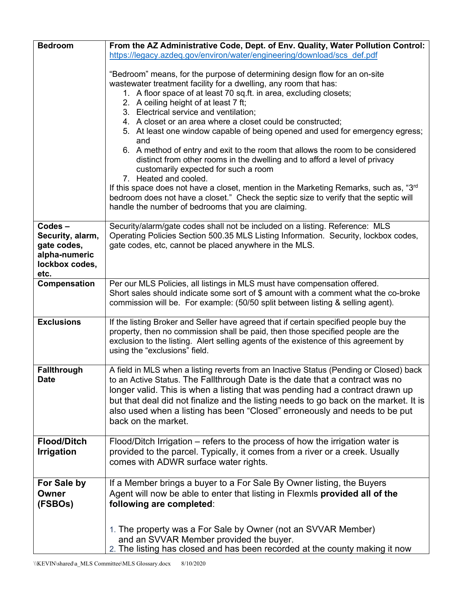| <b>Bedroom</b>                                             | From the AZ Administrative Code, Dept. of Env. Quality, Water Pollution Control:                                                                                                                                                                   |
|------------------------------------------------------------|----------------------------------------------------------------------------------------------------------------------------------------------------------------------------------------------------------------------------------------------------|
|                                                            | https://legacy.azdeq.gov/environ/water/engineering/download/scs_def.pdf                                                                                                                                                                            |
|                                                            |                                                                                                                                                                                                                                                    |
|                                                            | "Bedroom" means, for the purpose of determining design flow for an on-site<br>wastewater treatment facility for a dwelling, any room that has:                                                                                                     |
|                                                            | 1. A floor space of at least 70 sq.ft. in area, excluding closets;                                                                                                                                                                                 |
|                                                            | 2. A ceiling height of at least 7 ft;                                                                                                                                                                                                              |
|                                                            | 3. Electrical service and ventilation;                                                                                                                                                                                                             |
|                                                            | 4. A closet or an area where a closet could be constructed;                                                                                                                                                                                        |
|                                                            | 5. At least one window capable of being opened and used for emergency egress;<br>and                                                                                                                                                               |
|                                                            | 6. A method of entry and exit to the room that allows the room to be considered<br>distinct from other rooms in the dwelling and to afford a level of privacy<br>customarily expected for such a room                                              |
|                                                            | 7. Heated and cooled.                                                                                                                                                                                                                              |
|                                                            | If this space does not have a closet, mention in the Marketing Remarks, such as, "3 <sup>rd</sup><br>bedroom does not have a closet." Check the septic size to verify that the septic will<br>handle the number of bedrooms that you are claiming. |
|                                                            |                                                                                                                                                                                                                                                    |
| Codes-<br>Security, alarm,<br>gate codes,<br>alpha-numeric | Security/alarm/gate codes shall not be included on a listing. Reference: MLS<br>Operating Policies Section 500.35 MLS Listing Information. Security, lockbox codes,<br>gate codes, etc, cannot be placed anywhere in the MLS.                      |
| lockbox codes,                                             |                                                                                                                                                                                                                                                    |
| etc.                                                       |                                                                                                                                                                                                                                                    |
| Compensation                                               | Per our MLS Policies, all listings in MLS must have compensation offered.                                                                                                                                                                          |
|                                                            | Short sales should indicate some sort of \$ amount with a comment what the co-broke<br>commission will be. For example: (50/50 split between listing & selling agent).                                                                             |
| <b>Exclusions</b>                                          | If the listing Broker and Seller have agreed that if certain specified people buy the                                                                                                                                                              |
|                                                            | property, then no commission shall be paid, then those specified people are the                                                                                                                                                                    |
|                                                            | exclusion to the listing. Alert selling agents of the existence of this agreement by                                                                                                                                                               |
|                                                            | using the "exclusions" field.                                                                                                                                                                                                                      |
|                                                            |                                                                                                                                                                                                                                                    |
| <b>Fallthrough</b><br><b>Date</b>                          | A field in MLS when a listing reverts from an Inactive Status (Pending or Closed) back<br>to an Active Status. The Fallthrough Date is the date that a contract was no                                                                             |
|                                                            | longer valid. This is when a listing that was pending had a contract drawn up                                                                                                                                                                      |
|                                                            | but that deal did not finalize and the listing needs to go back on the market. It is                                                                                                                                                               |
|                                                            | also used when a listing has been "Closed" erroneously and needs to be put                                                                                                                                                                         |
|                                                            | back on the market.                                                                                                                                                                                                                                |
|                                                            |                                                                                                                                                                                                                                                    |
| <b>Flood/Ditch</b>                                         | Flood/Ditch Irrigation – refers to the process of how the irrigation water is                                                                                                                                                                      |
| <b>Irrigation</b>                                          | provided to the parcel. Typically, it comes from a river or a creek. Usually                                                                                                                                                                       |
|                                                            | comes with ADWR surface water rights.                                                                                                                                                                                                              |
|                                                            |                                                                                                                                                                                                                                                    |
| For Sale by<br>Owner                                       | If a Member brings a buyer to a For Sale By Owner listing, the Buyers<br>Agent will now be able to enter that listing in Flexmls provided all of the                                                                                               |
| (FSBOs)                                                    | following are completed:                                                                                                                                                                                                                           |
|                                                            |                                                                                                                                                                                                                                                    |
|                                                            |                                                                                                                                                                                                                                                    |
|                                                            | 1. The property was a For Sale by Owner (not an SVVAR Member)                                                                                                                                                                                      |
|                                                            | and an SVVAR Member provided the buyer.                                                                                                                                                                                                            |
|                                                            | 2. The listing has closed and has been recorded at the county making it now                                                                                                                                                                        |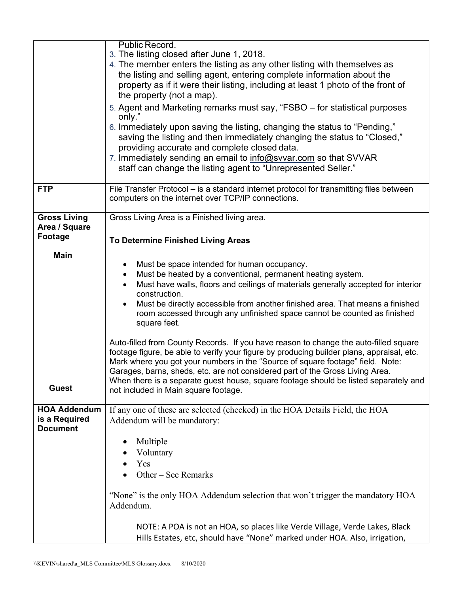|                                                         | Public Record.<br>3. The listing closed after June 1, 2018.                                                                                                                                                                                                                                                                                                                                                                                                                          |
|---------------------------------------------------------|--------------------------------------------------------------------------------------------------------------------------------------------------------------------------------------------------------------------------------------------------------------------------------------------------------------------------------------------------------------------------------------------------------------------------------------------------------------------------------------|
|                                                         | 4. The member enters the listing as any other listing with themselves as                                                                                                                                                                                                                                                                                                                                                                                                             |
|                                                         | the listing and selling agent, entering complete information about the                                                                                                                                                                                                                                                                                                                                                                                                               |
|                                                         | property as if it were their listing, including at least 1 photo of the front of                                                                                                                                                                                                                                                                                                                                                                                                     |
|                                                         | the property (not a map).                                                                                                                                                                                                                                                                                                                                                                                                                                                            |
|                                                         | 5. Agent and Marketing remarks must say, "FSBO – for statistical purposes<br>only."                                                                                                                                                                                                                                                                                                                                                                                                  |
|                                                         | 6. Immediately upon saving the listing, changing the status to "Pending,"<br>saving the listing and then immediately changing the status to "Closed,"<br>providing accurate and complete closed data.<br>7. Immediately sending an email to info@svvar.com so that SVVAR                                                                                                                                                                                                             |
|                                                         | staff can change the listing agent to "Unrepresented Seller."                                                                                                                                                                                                                                                                                                                                                                                                                        |
| <b>FTP</b>                                              | File Transfer Protocol – is a standard internet protocol for transmitting files between<br>computers on the internet over TCP/IP connections.                                                                                                                                                                                                                                                                                                                                        |
| <b>Gross Living</b><br>Area / Square                    | Gross Living Area is a Finished living area.                                                                                                                                                                                                                                                                                                                                                                                                                                         |
| Footage                                                 | To Determine Finished Living Areas                                                                                                                                                                                                                                                                                                                                                                                                                                                   |
| <b>Main</b>                                             |                                                                                                                                                                                                                                                                                                                                                                                                                                                                                      |
|                                                         | Must be space intended for human occupancy.                                                                                                                                                                                                                                                                                                                                                                                                                                          |
|                                                         | Must be heated by a conventional, permanent heating system.<br>٠                                                                                                                                                                                                                                                                                                                                                                                                                     |
|                                                         | Must have walls, floors and ceilings of materials generally accepted for interior<br>construction.                                                                                                                                                                                                                                                                                                                                                                                   |
|                                                         | Must be directly accessible from another finished area. That means a finished<br>$\bullet$                                                                                                                                                                                                                                                                                                                                                                                           |
|                                                         | room accessed through any unfinished space cannot be counted as finished<br>square feet.                                                                                                                                                                                                                                                                                                                                                                                             |
| <b>Guest</b>                                            | Auto-filled from County Records. If you have reason to change the auto-filled square<br>footage figure, be able to verify your figure by producing builder plans, appraisal, etc.<br>Mark where you got your numbers in the "Source of square footage" field. Note:<br>Garages, barns, sheds, etc. are not considered part of the Gross Living Area.<br>When there is a separate guest house, square footage should be listed separately and<br>not included in Main square footage. |
|                                                         |                                                                                                                                                                                                                                                                                                                                                                                                                                                                                      |
| <b>HOA Addendum</b><br>is a Required<br><b>Document</b> | If any one of these are selected (checked) in the HOA Details Field, the HOA<br>Addendum will be mandatory:                                                                                                                                                                                                                                                                                                                                                                          |
|                                                         | Multiple                                                                                                                                                                                                                                                                                                                                                                                                                                                                             |
|                                                         | Voluntary                                                                                                                                                                                                                                                                                                                                                                                                                                                                            |
|                                                         | Yes                                                                                                                                                                                                                                                                                                                                                                                                                                                                                  |
|                                                         | Other – See Remarks                                                                                                                                                                                                                                                                                                                                                                                                                                                                  |
|                                                         | "None" is the only HOA Addendum selection that won't trigger the mandatory HOA<br>Addendum.                                                                                                                                                                                                                                                                                                                                                                                          |
|                                                         | NOTE: A POA is not an HOA, so places like Verde Village, Verde Lakes, Black<br>Hills Estates, etc, should have "None" marked under HOA. Also, irrigation,                                                                                                                                                                                                                                                                                                                            |
|                                                         |                                                                                                                                                                                                                                                                                                                                                                                                                                                                                      |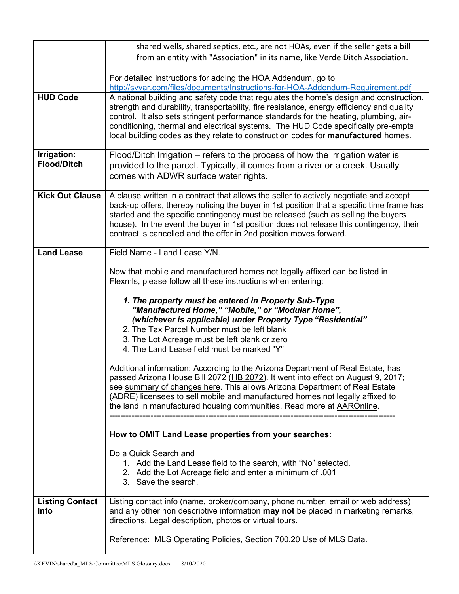|                                       | shared wells, shared septics, etc., are not HOAs, even if the seller gets a bill                                                                                                                                                                                                                                                                                                                                                                              |
|---------------------------------------|---------------------------------------------------------------------------------------------------------------------------------------------------------------------------------------------------------------------------------------------------------------------------------------------------------------------------------------------------------------------------------------------------------------------------------------------------------------|
|                                       | from an entity with "Association" in its name, like Verde Ditch Association.                                                                                                                                                                                                                                                                                                                                                                                  |
|                                       | For detailed instructions for adding the HOA Addendum, go to                                                                                                                                                                                                                                                                                                                                                                                                  |
|                                       | http://svvar.com/files/documents/Instructions-for-HOA-Addendum-Requirement.pdf                                                                                                                                                                                                                                                                                                                                                                                |
| <b>HUD Code</b>                       | A national building and safety code that regulates the home's design and construction,<br>strength and durability, transportability, fire resistance, energy efficiency and quality<br>control. It also sets stringent performance standards for the heating, plumbing, air-<br>conditioning, thermal and electrical systems. The HUD Code specifically pre-empts<br>local building codes as they relate to construction codes for <b>manufactured</b> homes. |
| Irrigation:                           | Flood/Ditch Irrigation – refers to the process of how the irrigation water is                                                                                                                                                                                                                                                                                                                                                                                 |
| <b>Flood/Ditch</b>                    | provided to the parcel. Typically, it comes from a river or a creek. Usually<br>comes with ADWR surface water rights.                                                                                                                                                                                                                                                                                                                                         |
| <b>Kick Out Clause</b>                | A clause written in a contract that allows the seller to actively negotiate and accept<br>back-up offers, thereby noticing the buyer in 1st position that a specific time frame has<br>started and the specific contingency must be released (such as selling the buyers<br>house). In the event the buyer in 1st position does not release this contingency, their<br>contract is cancelled and the offer in 2nd position moves forward.                     |
| <b>Land Lease</b>                     | Field Name - Land Lease Y/N.                                                                                                                                                                                                                                                                                                                                                                                                                                  |
|                                       | Now that mobile and manufactured homes not legally affixed can be listed in<br>Flexmls, please follow all these instructions when entering:                                                                                                                                                                                                                                                                                                                   |
|                                       | 1. The property must be entered in Property Sub-Type<br>"Manufactured Home," "Mobile," or "Modular Home",<br>(whichever is applicable) under Property Type "Residential"                                                                                                                                                                                                                                                                                      |
|                                       | 2. The Tax Parcel Number must be left blank                                                                                                                                                                                                                                                                                                                                                                                                                   |
|                                       | 3. The Lot Acreage must be left blank or zero                                                                                                                                                                                                                                                                                                                                                                                                                 |
|                                       | 4. The Land Lease field must be marked "Y"                                                                                                                                                                                                                                                                                                                                                                                                                    |
|                                       | Additional information: According to the Arizona Department of Real Estate, has<br>passed Arizona House Bill 2072 (HB 2072). It went into effect on August 9, 2017;<br>see summary of changes here. This allows Arizona Department of Real Estate<br>(ADRE) licensees to sell mobile and manufactured homes not legally affixed to<br>the land in manufactured housing communities. Read more at <b>AAROnline</b> .                                           |
|                                       | How to OMIT Land Lease properties from your searches:                                                                                                                                                                                                                                                                                                                                                                                                         |
|                                       | Do a Quick Search and<br>1. Add the Land Lease field to the search, with "No" selected.<br>2. Add the Lot Acreage field and enter a minimum of .001<br>3. Save the search.                                                                                                                                                                                                                                                                                    |
| <b>Listing Contact</b><br><b>Info</b> | Listing contact info (name, broker/company, phone number, email or web address)<br>and any other non descriptive information may not be placed in marketing remarks,<br>directions, Legal description, photos or virtual tours.                                                                                                                                                                                                                               |
|                                       | Reference: MLS Operating Policies, Section 700.20 Use of MLS Data.                                                                                                                                                                                                                                                                                                                                                                                            |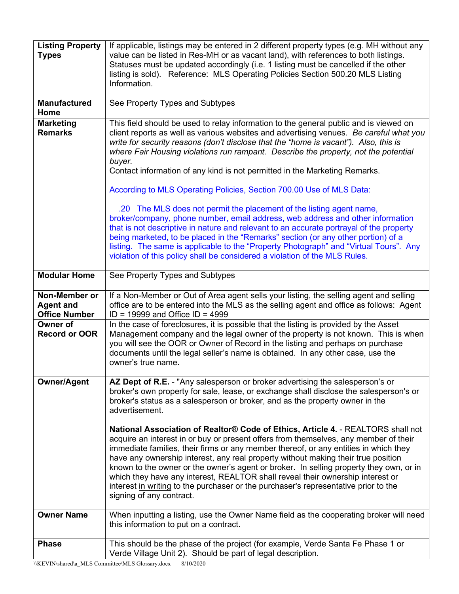| <b>Listing Property</b><br><b>Types</b>                   | If applicable, listings may be entered in 2 different property types (e.g. MH without any<br>value can be listed in Res-MH or as vacant land), with references to both listings.<br>Statuses must be updated accordingly (i.e. 1 listing must be cancelled if the other<br>listing is sold). Reference: MLS Operating Policies Section 500.20 MLS Listing<br>Information.                                                                                                                                                                                                                                                                                                                                                                                                                                                                                                                                                                                         |
|-----------------------------------------------------------|-------------------------------------------------------------------------------------------------------------------------------------------------------------------------------------------------------------------------------------------------------------------------------------------------------------------------------------------------------------------------------------------------------------------------------------------------------------------------------------------------------------------------------------------------------------------------------------------------------------------------------------------------------------------------------------------------------------------------------------------------------------------------------------------------------------------------------------------------------------------------------------------------------------------------------------------------------------------|
| <b>Manufactured</b><br>Home                               | See Property Types and Subtypes                                                                                                                                                                                                                                                                                                                                                                                                                                                                                                                                                                                                                                                                                                                                                                                                                                                                                                                                   |
| <b>Marketing</b><br><b>Remarks</b>                        | This field should be used to relay information to the general public and is viewed on<br>client reports as well as various websites and advertising venues. Be careful what you<br>write for security reasons (don't disclose that the "home is vacant"). Also, this is<br>where Fair Housing violations run rampant. Describe the property, not the potential<br>buyer.<br>Contact information of any kind is not permitted in the Marketing Remarks.<br>According to MLS Operating Policies, Section 700.00 Use of MLS Data:<br>.20 The MLS does not permit the placement of the listing agent name,<br>broker/company, phone number, email address, web address and other information<br>that is not descriptive in nature and relevant to an accurate portrayal of the property<br>being marketed, to be placed in the "Remarks" section (or any other portion) of a<br>listing. The same is applicable to the "Property Photograph" and "Virtual Tours". Any |
| <b>Modular Home</b>                                       | violation of this policy shall be considered a violation of the MLS Rules.<br>See Property Types and Subtypes                                                                                                                                                                                                                                                                                                                                                                                                                                                                                                                                                                                                                                                                                                                                                                                                                                                     |
|                                                           |                                                                                                                                                                                                                                                                                                                                                                                                                                                                                                                                                                                                                                                                                                                                                                                                                                                                                                                                                                   |
| Non-Member or<br><b>Agent and</b><br><b>Office Number</b> | If a Non-Member or Out of Area agent sells your listing, the selling agent and selling<br>office are to be entered into the MLS as the selling agent and office as follows: Agent<br>$ID = 19999$ and Office $ID = 4999$                                                                                                                                                                                                                                                                                                                                                                                                                                                                                                                                                                                                                                                                                                                                          |
| <b>Owner of</b><br><b>Record or OOR</b>                   | In the case of foreclosures, it is possible that the listing is provided by the Asset<br>Management company and the legal owner of the property is not known. This is when<br>you will see the OOR or Owner of Record in the listing and perhaps on purchase<br>documents until the legal seller's name is obtained. In any other case, use the<br>owner's true name.                                                                                                                                                                                                                                                                                                                                                                                                                                                                                                                                                                                             |
| <b>Owner/Agent</b>                                        | AZ Dept of R.E. - "Any salesperson or broker advertising the salesperson's or<br>broker's own property for sale, lease, or exchange shall disclose the salesperson's or<br>broker's status as a salesperson or broker, and as the property owner in the<br>advertisement.                                                                                                                                                                                                                                                                                                                                                                                                                                                                                                                                                                                                                                                                                         |
|                                                           | National Association of Realtor® Code of Ethics, Article 4. - REALTORS shall not<br>acquire an interest in or buy or present offers from themselves, any member of their<br>immediate families, their firms or any member thereof, or any entities in which they<br>have any ownership interest, any real property without making their true position<br>known to the owner or the owner's agent or broker. In selling property they own, or in<br>which they have any interest, REALTOR shall reveal their ownership interest or<br>interest in writing to the purchaser or the purchaser's representative prior to the<br>signing of any contract.                                                                                                                                                                                                                                                                                                              |
| <b>Owner Name</b>                                         | When inputting a listing, use the Owner Name field as the cooperating broker will need<br>this information to put on a contract.                                                                                                                                                                                                                                                                                                                                                                                                                                                                                                                                                                                                                                                                                                                                                                                                                                  |
| <b>Phase</b>                                              | This should be the phase of the project (for example, Verde Santa Fe Phase 1 or<br>Verde Village Unit 2). Should be part of legal description.                                                                                                                                                                                                                                                                                                                                                                                                                                                                                                                                                                                                                                                                                                                                                                                                                    |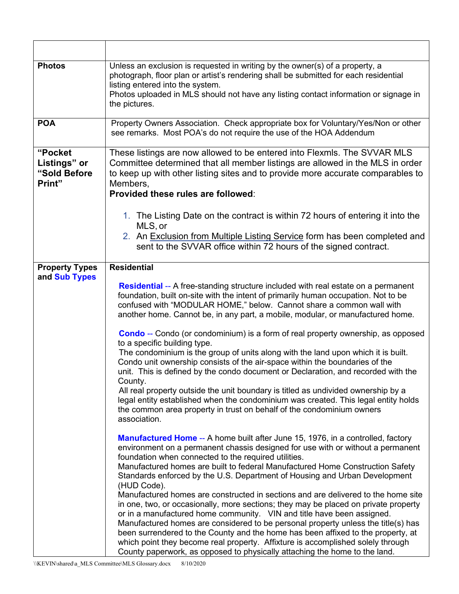| <b>Photos</b>                                     | Unless an exclusion is requested in writing by the owner(s) of a property, a<br>photograph, floor plan or artist's rendering shall be submitted for each residential<br>listing entered into the system.<br>Photos uploaded in MLS should not have any listing contact information or signage in<br>the pictures.                                                                                                                                                                                                                                                                                                                                                                                                                                                                                                                                                                                                                                                                                        |
|---------------------------------------------------|----------------------------------------------------------------------------------------------------------------------------------------------------------------------------------------------------------------------------------------------------------------------------------------------------------------------------------------------------------------------------------------------------------------------------------------------------------------------------------------------------------------------------------------------------------------------------------------------------------------------------------------------------------------------------------------------------------------------------------------------------------------------------------------------------------------------------------------------------------------------------------------------------------------------------------------------------------------------------------------------------------|
| <b>POA</b>                                        | Property Owners Association. Check appropriate box for Voluntary/Yes/Non or other<br>see remarks. Most POA's do not require the use of the HOA Addendum                                                                                                                                                                                                                                                                                                                                                                                                                                                                                                                                                                                                                                                                                                                                                                                                                                                  |
| "Pocket<br>Listings" or<br>"Sold Before<br>Print" | These listings are now allowed to be entered into Flexmls. The SVVAR MLS<br>Committee determined that all member listings are allowed in the MLS in order<br>to keep up with other listing sites and to provide more accurate comparables to<br>Members,<br>Provided these rules are followed:                                                                                                                                                                                                                                                                                                                                                                                                                                                                                                                                                                                                                                                                                                           |
|                                                   | 1. The Listing Date on the contract is within 72 hours of entering it into the<br>MLS, or<br>2. An Exclusion from Multiple Listing Service form has been completed and<br>sent to the SVVAR office within 72 hours of the signed contract.                                                                                                                                                                                                                                                                                                                                                                                                                                                                                                                                                                                                                                                                                                                                                               |
| <b>Property Types</b><br>and Sub Types            | <b>Residential</b>                                                                                                                                                                                                                                                                                                                                                                                                                                                                                                                                                                                                                                                                                                                                                                                                                                                                                                                                                                                       |
|                                                   | <b>Residential</b> -- A free-standing structure included with real estate on a permanent<br>foundation, built on-site with the intent of primarily human occupation. Not to be<br>confused with "MODULAR HOME," below. Cannot share a common wall with<br>another home. Cannot be, in any part, a mobile, modular, or manufactured home.                                                                                                                                                                                                                                                                                                                                                                                                                                                                                                                                                                                                                                                                 |
|                                                   | <b>Condo</b> -- Condo (or condominium) is a form of real property ownership, as opposed<br>to a specific building type.<br>The condominium is the group of units along with the land upon which it is built.<br>Condo unit ownership consists of the air-space within the boundaries of the<br>unit. This is defined by the condo document or Declaration, and recorded with the<br>County.<br>All real property outside the unit boundary is titled as undivided ownership by a<br>legal entity established when the condominium was created. This legal entity holds<br>the common area property in trust on behalf of the condominium owners<br>association.                                                                                                                                                                                                                                                                                                                                          |
|                                                   | Manufactured Home -- A home built after June 15, 1976, in a controlled, factory<br>environment on a permanent chassis designed for use with or without a permanent<br>foundation when connected to the required utilities.<br>Manufactured homes are built to federal Manufactured Home Construction Safety<br>Standards enforced by the U.S. Department of Housing and Urban Development<br>(HUD Code).<br>Manufactured homes are constructed in sections and are delivered to the home site<br>in one, two, or occasionally, more sections; they may be placed on private property<br>or in a manufactured home community. VIN and title have been assigned.<br>Manufactured homes are considered to be personal property unless the title(s) has<br>been surrendered to the County and the home has been affixed to the property, at<br>which point they become real property. Affixture is accomplished solely through<br>County paperwork, as opposed to physically attaching the home to the land. |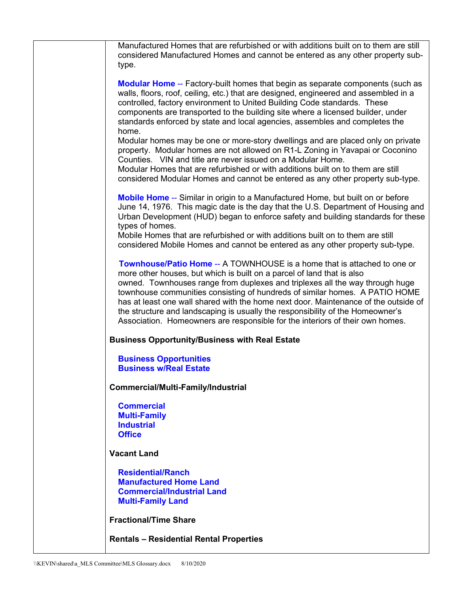| Manufactured Homes that are refurbished or with additions built on to them are still<br>considered Manufactured Homes and cannot be entered as any other property sub-<br>type.                                                                                                                                                                                                                                                                                                                                                                                                    |
|------------------------------------------------------------------------------------------------------------------------------------------------------------------------------------------------------------------------------------------------------------------------------------------------------------------------------------------------------------------------------------------------------------------------------------------------------------------------------------------------------------------------------------------------------------------------------------|
| <b>Modular Home -- Factory-built homes that begin as separate components (such as</b><br>walls, floors, roof, ceiling, etc.) that are designed, engineered and assembled in a<br>controlled, factory environment to United Building Code standards. These<br>components are transported to the building site where a licensed builder, under<br>standards enforced by state and local agencies, assembles and completes the<br>home.                                                                                                                                               |
| Modular homes may be one or more-story dwellings and are placed only on private<br>property. Modular homes are not allowed on R1-L Zoning in Yavapai or Coconino<br>Counties. VIN and title are never issued on a Modular Home.<br>Modular Homes that are refurbished or with additions built on to them are still<br>considered Modular Homes and cannot be entered as any other property sub-type.                                                                                                                                                                               |
| Mobile Home -- Similar in origin to a Manufactured Home, but built on or before<br>June 14, 1976. This magic date is the day that the U.S. Department of Housing and<br>Urban Development (HUD) began to enforce safety and building standards for these<br>types of homes.                                                                                                                                                                                                                                                                                                        |
| Mobile Homes that are refurbished or with additions built on to them are still<br>considered Mobile Homes and cannot be entered as any other property sub-type.                                                                                                                                                                                                                                                                                                                                                                                                                    |
| <b>Townhouse/Patio Home -- A TOWNHOUSE is a home that is attached to one or</b><br>more other houses, but which is built on a parcel of land that is also<br>owned. Townhouses range from duplexes and triplexes all the way through huge<br>townhouse communities consisting of hundreds of similar homes. A PATIO HOME<br>has at least one wall shared with the home next door. Maintenance of the outside of<br>the structure and landscaping is usually the responsibility of the Homeowner's<br>Association. Homeowners are responsible for the interiors of their own homes. |
| <b>Business Opportunity/Business with Real Estate</b>                                                                                                                                                                                                                                                                                                                                                                                                                                                                                                                              |
| <b>Business Opportunities</b><br><b>Business w/Real Estate</b>                                                                                                                                                                                                                                                                                                                                                                                                                                                                                                                     |
| Commercial/Multi-Family/Industrial                                                                                                                                                                                                                                                                                                                                                                                                                                                                                                                                                 |
| <b>Commercial</b><br><b>Multi-Family</b><br><b>Industrial</b><br><b>Office</b>                                                                                                                                                                                                                                                                                                                                                                                                                                                                                                     |
| <b>Vacant Land</b>                                                                                                                                                                                                                                                                                                                                                                                                                                                                                                                                                                 |
| <b>Residential/Ranch</b><br><b>Manufactured Home Land</b><br><b>Commercial/Industrial Land</b><br><b>Multi-Family Land</b>                                                                                                                                                                                                                                                                                                                                                                                                                                                         |
| <b>Fractional/Time Share</b>                                                                                                                                                                                                                                                                                                                                                                                                                                                                                                                                                       |
| <b>Rentals - Residential Rental Properties</b>                                                                                                                                                                                                                                                                                                                                                                                                                                                                                                                                     |

 $\overline{\phantom{a}}$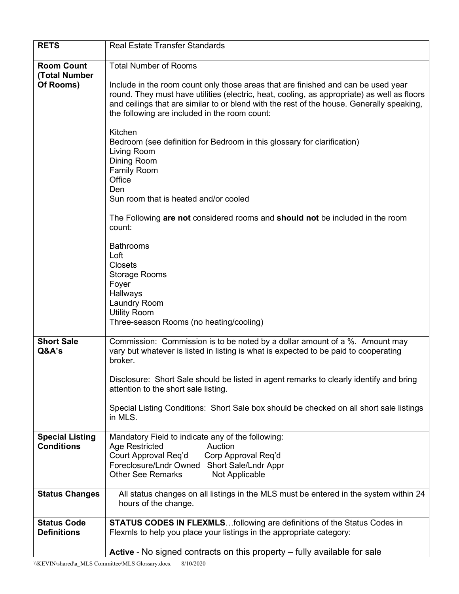| <b>RETS</b>                                     | <b>Real Estate Transfer Standards</b>                                                                                                                                                                                                                                                                                                                                                                                                                                                                                                                                                                                                                                                                                                                                                                                                      |
|-------------------------------------------------|--------------------------------------------------------------------------------------------------------------------------------------------------------------------------------------------------------------------------------------------------------------------------------------------------------------------------------------------------------------------------------------------------------------------------------------------------------------------------------------------------------------------------------------------------------------------------------------------------------------------------------------------------------------------------------------------------------------------------------------------------------------------------------------------------------------------------------------------|
| <b>Room Count</b><br>(Total Number<br>Of Rooms) | <b>Total Number of Rooms</b><br>Include in the room count only those areas that are finished and can be used year<br>round. They must have utilities (electric, heat, cooling, as appropriate) as well as floors<br>and ceilings that are similar to or blend with the rest of the house. Generally speaking,<br>the following are included in the room count:<br>Kitchen<br>Bedroom (see definition for Bedroom in this glossary for clarification)<br>Living Room<br>Dining Room<br><b>Family Room</b><br>Office<br>Den<br>Sun room that is heated and/or cooled<br>The Following are not considered rooms and should not be included in the room<br>count:<br><b>Bathrooms</b><br>Loft<br><b>Closets</b><br><b>Storage Rooms</b><br>Foyer<br>Hallways<br>Laundry Room<br><b>Utility Room</b><br>Three-season Rooms (no heating/cooling) |
| <b>Short Sale</b><br>Q&A's                      | Commission: Commission is to be noted by a dollar amount of a %. Amount may<br>vary but whatever is listed in listing is what is expected to be paid to cooperating<br>broker.<br>Disclosure: Short Sale should be listed in agent remarks to clearly identify and bring<br>attention to the short sale listing.<br>Special Listing Conditions: Short Sale box should be checked on all short sale listings<br>in MLS.                                                                                                                                                                                                                                                                                                                                                                                                                     |
| <b>Special Listing</b><br><b>Conditions</b>     | Mandatory Field to indicate any of the following:<br><b>Age Restricted</b><br>Auction<br>Court Approval Req'd<br>Corp Approval Req'd<br>Foreclosure/Lndr Owned Short Sale/Lndr Appr<br><b>Other See Remarks</b><br>Not Applicable                                                                                                                                                                                                                                                                                                                                                                                                                                                                                                                                                                                                          |
| <b>Status Changes</b>                           | All status changes on all listings in the MLS must be entered in the system within 24<br>hours of the change.                                                                                                                                                                                                                                                                                                                                                                                                                                                                                                                                                                                                                                                                                                                              |
| <b>Status Code</b><br><b>Definitions</b>        | <b>STATUS CODES IN FLEXMLSfollowing are definitions of the Status Codes in</b><br>Flexmls to help you place your listings in the appropriate category:                                                                                                                                                                                                                                                                                                                                                                                                                                                                                                                                                                                                                                                                                     |
|                                                 | Active - No signed contracts on this property - fully available for sale                                                                                                                                                                                                                                                                                                                                                                                                                                                                                                                                                                                                                                                                                                                                                                   |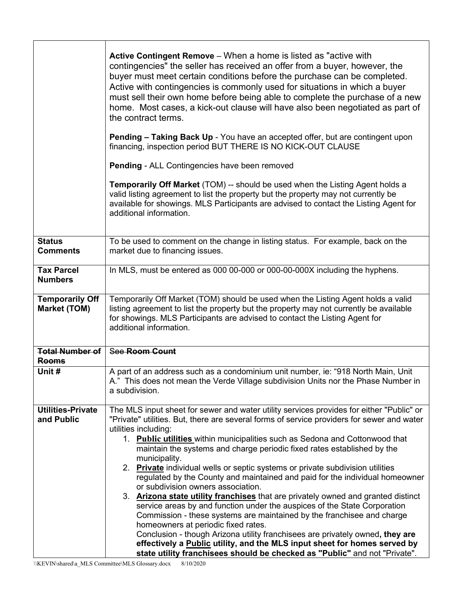|                                               | Active Contingent Remove – When a home is listed as "active with<br>contingencies" the seller has received an offer from a buyer, however, the<br>buyer must meet certain conditions before the purchase can be completed.<br>Active with contingencies is commonly used for situations in which a buyer<br>must sell their own home before being able to complete the purchase of a new<br>home. Most cases, a kick-out clause will have also been negotiated as part of<br>the contract terms.<br><b>Pending – Taking Back Up</b> - You have an accepted offer, but are contingent upon<br>financing, inspection period BUT THERE IS NO KICK-OUT CLAUSE<br><b>Pending - ALL Contingencies have been removed</b><br><b>Temporarily Off Market</b> (TOM) -- should be used when the Listing Agent holds a<br>valid listing agreement to list the property but the property may not currently be<br>available for showings. MLS Participants are advised to contact the Listing Agent for<br>additional information.                                                                                                                      |
|-----------------------------------------------|------------------------------------------------------------------------------------------------------------------------------------------------------------------------------------------------------------------------------------------------------------------------------------------------------------------------------------------------------------------------------------------------------------------------------------------------------------------------------------------------------------------------------------------------------------------------------------------------------------------------------------------------------------------------------------------------------------------------------------------------------------------------------------------------------------------------------------------------------------------------------------------------------------------------------------------------------------------------------------------------------------------------------------------------------------------------------------------------------------------------------------------|
| <b>Status</b><br><b>Comments</b>              | To be used to comment on the change in listing status. For example, back on the<br>market due to financing issues.                                                                                                                                                                                                                                                                                                                                                                                                                                                                                                                                                                                                                                                                                                                                                                                                                                                                                                                                                                                                                       |
| <b>Tax Parcel</b><br><b>Numbers</b>           | In MLS, must be entered as 000 00-000 or 000-00-000X including the hyphens.                                                                                                                                                                                                                                                                                                                                                                                                                                                                                                                                                                                                                                                                                                                                                                                                                                                                                                                                                                                                                                                              |
| <b>Temporarily Off</b><br><b>Market (TOM)</b> | Temporarily Off Market (TOM) should be used when the Listing Agent holds a valid<br>listing agreement to list the property but the property may not currently be available<br>for showings. MLS Participants are advised to contact the Listing Agent for<br>additional information.                                                                                                                                                                                                                                                                                                                                                                                                                                                                                                                                                                                                                                                                                                                                                                                                                                                     |
| <b>Total Number of</b><br><b>Rooms</b>        | See Room Count                                                                                                                                                                                                                                                                                                                                                                                                                                                                                                                                                                                                                                                                                                                                                                                                                                                                                                                                                                                                                                                                                                                           |
| Unit #                                        | A part of an address such as a condominium unit number, ie: "918 North Main, Unit<br>A." This does not mean the Verde Village subdivision Units nor the Phase Number in<br>a subdivision.                                                                                                                                                                                                                                                                                                                                                                                                                                                                                                                                                                                                                                                                                                                                                                                                                                                                                                                                                |
| <b>Utilities-Private</b><br>and Public        | The MLS input sheet for sewer and water utility services provides for either "Public" or<br>"Private" utilities. But, there are several forms of service providers for sewer and water<br>utilities including:<br>1. Public utilities within municipalities such as Sedona and Cottonwood that<br>maintain the systems and charge periodic fixed rates established by the<br>municipality.<br>2. Private individual wells or septic systems or private subdivision utilities<br>regulated by the County and maintained and paid for the individual homeowner<br>or subdivision owners association.<br>3. <b>Arizona state utility franchises</b> that are privately owned and granted distinct<br>service areas by and function under the auspices of the State Corporation<br>Commission - these systems are maintained by the franchisee and charge<br>homeowners at periodic fixed rates.<br>Conclusion - though Arizona utility franchisees are privately owned, they are<br>effectively a Public utility, and the MLS input sheet for homes served by<br>state utility franchisees should be checked as "Public" and not "Private". |